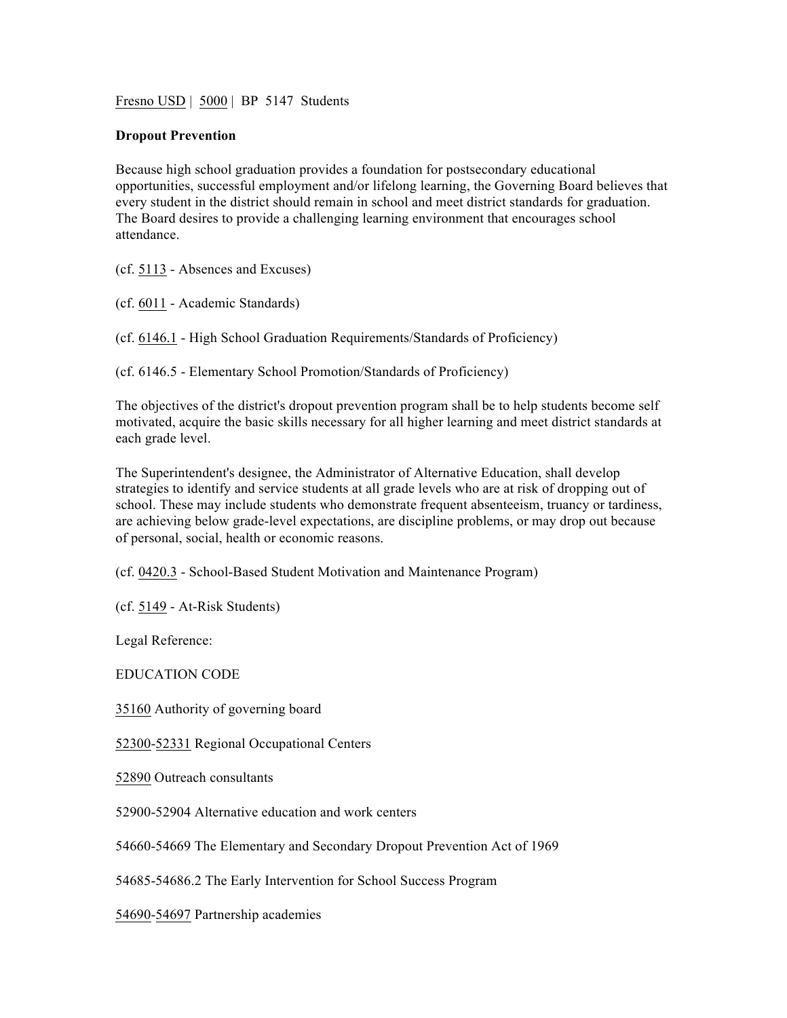Fresno USD | 5000 | BP 5147 Students

## **Dropout Prevention**

Because high school graduation provides a foundation for postsecondary educational opportunities, successful employment and/or lifelong learning, the Governing Board believes that every student in the district should remain in school and meet district standards for graduation. The Board desires to provide a challenging learning environment that encourages school attendance.

(cf. 5113 - Absences and Excuses)

(cf. 6011 - Academic Standards)

(cf. 6146.1 - High School Graduation Requirements/Standards of Proficiency)

(cf. 6146.5 - Elementary School Promotion/Standards of Proficiency)

The objectives of the district's dropout prevention program shall be to help students become self motivated, acquire the basic skills necessary for all higher learning and meet district standards at each grade level.

The Superintendent's designee, the Administrator of Alternative Education, shall develop strategies to identify and service students at all grade levels who are at risk of dropping out of school. These may include students who demonstrate frequent absenteeism, truancy or tardiness, are achieving below grade-level expectations, are discipline problems, or may drop out because of personal, social, health or economic reasons.

(cf. 0420.3 - School-Based Student Motivation and Maintenance Program)

(cf. 5149 - At-Risk Students)

Legal Reference:

EDUCATION CODE

35160 Authority of governing board

52300-52331 Regional Occupational Centers

52890 Outreach consultants

52900-52904 Alternative education and work centers

54660-54669 The Elementary and Secondary Dropout Prevention Act of 1969

54685-54686.2 The Early Intervention for School Success Program

54690-54697 Partnership academies